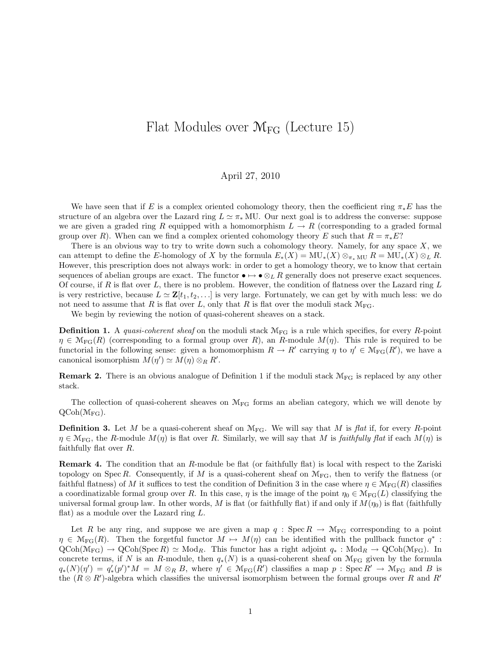## Flat Modules over  $\mathcal{M}_{FG}$  (Lecture 15)

## April 27, 2010

We have seen that if E is a complex oriented cohomology theory, then the coefficient ring  $\pi_*E$  has the structure of an algebra over the Lazard ring  $L \simeq \pi_*$  MU. Our next goal is to address the converse: suppose we are given a graded ring R equipped with a homomorphism  $L \to R$  (corresponding to a graded formal group over R). When can we find a complex oriented cohomology theory E such that  $R = \pi_* E$ ?

There is an obvious way to try to write down such a cohomology theory. Namely, for any space  $X$ , we can attempt to define the E-homology of X by the formula  $E_*(X) = MU_*(X) \otimes_{\pi^* M U} R = MU_*(X) \otimes_L R$ . However, this prescription does not always work: in order to get a homology theory, we to know that certain sequences of abelian groups are exact. The functor  $\bullet \mapsto \bullet \otimes_L R$  generally does not preserve exact sequences. Of course, if R is flat over  $L$ , there is no problem. However, the condition of flatness over the Lazard ring  $L$ is very restrictive, because  $L \simeq \mathbf{Z}[t_1, t_2, \dots]$  is very large. Fortunately, we can get by with much less: we do not need to assume that R is flat over L, only that R is flat over the moduli stack  $\mathcal{M}_{\text{FG}}$ .

We begin by reviewing the notion of quasi-coherent sheaves on a stack.

**Definition 1.** A quasi-coherent sheaf on the moduli stack  $M_{FG}$  is a rule which specifies, for every R-point  $\eta \in M_{FG}(R)$  (corresponding to a formal group over R), an R-module  $M(\eta)$ . This rule is required to be functorial in the following sense: given a homomorphism  $R \to R'$  carrying  $\eta$  to  $\eta' \in \mathcal{M}_{FG}(R')$ , we have a canonical isomorphism  $M(\eta') \simeq M(\eta) \otimes_R R'$ .

**Remark 2.** There is an obvious analogue of Definition 1 if the moduli stack  $M_{FG}$  is replaced by any other stack.

The collection of quasi-coherent sheaves on  $\mathcal{M}_{FG}$  forms an abelian category, which we will denote by  $QCoh(\mathcal{M}_{FG})$ .

**Definition 3.** Let M be a quasi-coherent sheaf on  $\mathcal{M}_{FG}$ . We will say that M is flat if, for every R-point  $\eta \in \mathcal{M}_{FG}$ , the R-module  $M(\eta)$  is flat over R. Similarly, we will say that M is faithfully flat if each  $M(\eta)$  is faithfully flat over R.

Remark 4. The condition that an R-module be flat (or faithfully flat) is local with respect to the Zariski topology on Spec R. Consequently, if M is a quasi-coherent sheaf on  $\mathcal{M}_{FG}$ , then to verify the flatness (or faithful flatness) of M it suffices to test the condition of Definition 3 in the case where  $\eta \in \mathcal{M}_{FG}(R)$  classifies a coordinatizable formal group over R. In this case,  $\eta$  is the image of the point  $\eta_0 \in \mathcal{M}_{FG}(L)$  classifying the universal formal group law. In other words, M is flat (or faithfully flat) if and only if  $M(\eta_0)$  is flat (faithfully flat) as a module over the Lazard ring L.

Let R be any ring, and suppose we are given a map  $q: Spec R \to \mathcal{M}_{FG}$  corresponding to a point  $\eta \in \mathcal{M}_{FG}(R)$ . Then the forgetful functor  $M \mapsto M(\eta)$  can be identified with the pullback functor  $q^*$ :  $QCoh(\mathcal{M}_{FG}) \to QCoh(Spec R) \simeq Mod_R$ . This functor has a right adjoint  $q_* : Mod_R \to QCoh(\mathcal{M}_{FG})$ . In concrete terms, if N is an R-module, then  $q_*(N)$  is a quasi-coherent sheaf on  $\mathcal{M}_{FG}$  given by the formula  $q_*(N)(\eta') = q'_*(p')^*M = M \otimes_R B$ , where  $\eta' \in \mathcal{M}_{FG}(R')$  classifies a map  $p : \text{Spec } R' \to \mathcal{M}_{FG}$  and B is the  $(R \otimes R')$ -algebra which classifies the universal isomorphism between the formal groups over R and R'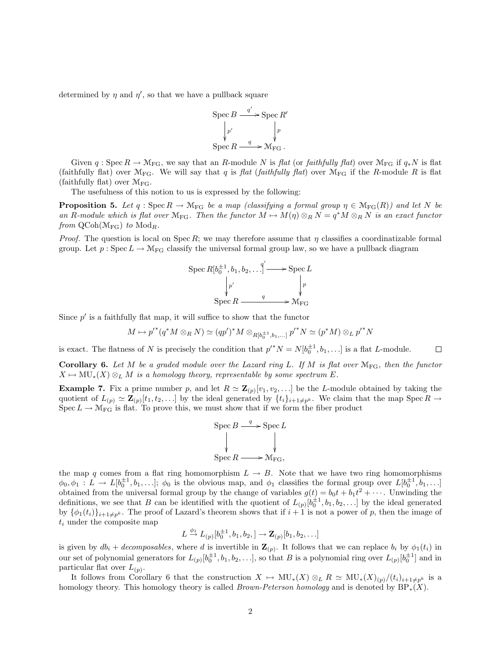determined by  $\eta$  and  $\eta'$ , so that we have a pullback square

$$
\operatorname{Spec} B \xrightarrow{q'} \operatorname{Spec} R'
$$

$$
\downarrow p'
$$

$$
\operatorname{Spec} R \xrightarrow{q} \mathcal{M}_{\text{FG}}.
$$

Given  $q : \text{Spec } R \to \mathcal{M}_{\text{FG}}$ , we say that an R-module N is flat (or faithfully flat) over  $\mathcal{M}_{\text{FG}}$  if  $q_*N$  is flat (faithfully flat) over  $\mathcal{M}_{FG}$ . We will say that q is flat (faithfully flat) over  $\mathcal{M}_{FG}$  if the R-module R is flat (faithfully flat) over  $\mathcal{M}_{\text{FG}}$ .

The usefulness of this notion to us is expressed by the following:

**Proposition 5.** Let q : Spec  $R \to M_{FG}$  be a map (classifying a formal group  $\eta \in M_{FG}(R)$ ) and let N be an R-module which is flat over  $\mathcal{M}_{FG}$ . Then the functor  $M \mapsto M(\eta) \otimes_R N = q^*M \otimes_R N$  is an exact functor from  $\mathrm{QCoh}(\mathcal{M}_{\mathrm{FG}})$  to  $\mathrm{Mod}_R$ .

*Proof.* The question is local on Spec R; we may therefore assume that  $\eta$  classifies a coordinatizable formal group. Let  $p : \text{Spec } L \to \mathcal{M}_{FG}$  classify the universal formal group law, so we have a pullback diagram

$$
\operatorname{Spec} R[b_0^{\pm 1}, b_1, b_2, \dots] \longrightarrow \operatorname{Spec} L
$$

$$
\downarrow p'
$$

$$
\operatorname{Spec} R \longrightarrow \downarrow p
$$

$$
\operatorname{Spec} R \longrightarrow \mathcal{M}_{\text{FG}}
$$

Since  $p'$  is a faithfully flat map, it will suffice to show that the functor

$$
M \mapsto p'^{*}(q^{*} M \otimes_{R} N) \simeq (qp')^{*} M \otimes_{R[b_{0}^{\pm 1},b_{1},...]} p'^{*} N \simeq (p^{*} M) \otimes_{L} p'^{*} N
$$

is exact. The flatness of N is precisely the condition that  $p'^*N = N[b_0^{\pm 1}, b_1, \ldots]$  is a flat L-module.  $\Box$ 

Corollary 6. Let M be a graded module over the Lazard ring L. If M is flat over  $\mathcal{M}_{FG}$ , then the functor  $X \mapsto MU_*(X) \otimes_L M$  is a homology theory, representable by some spectrum E.

**Example 7.** Fix a prime number p, and let  $R \simeq \mathbb{Z}_{(p)}[v_1, v_2, \ldots]$  be the L-module obtained by taking the quotient of  $L_{(p)} \simeq \mathbf{Z}_{(p)}[t_1, t_2, \ldots]$  by the ideal generated by  $\{t_i\}_{i+1\neq p^k}$ . We claim that the map Spec  $R \to$  $Spec L \to \mathcal{M}_{FG}$  is flat. To prove this, we must show that if we form the fiber product



the map q comes from a flat ring homomorphism  $L \to B$ . Note that we have two ring homomorphisms  $\phi_0, \phi_1: L \to L[b_0^{\pm 1}, b_1, \ldots]; \phi_0$  is the obvious map, and  $\phi_1$  classifies the formal group over  $L[b_0^{\pm 1}, b_1, \ldots]$ obtained from the universal formal group by the change of variables  $g(t) = b_0 t + b_1 t^2 + \cdots$ . Unwinding the definitions, we see that B can be identified with the quotient of  $L_{(p)}[b_0^{\pm 1}, b_1, b_2, \ldots]$  by the ideal generated by  $\{\phi_1(t_i)\}_{i+1\neq p^k}$ . The proof of Lazard's theorem shows that if  $i+1$  is not a power of p, then the image of  $t_i$  under the composite map

$$
L \stackrel{\phi_1}{\rightarrow} L_{(p)}[b_0^{\pm 1}, b_1, b_2, ] \rightarrow \mathbf{Z}_{(p)}[b_1, b_2, \ldots]
$$

is given by  $db_i + decomposable s$ , where d is invertible in  $\mathbf{Z}_{(p)}$ . It follows that we can replace  $b_i$  by  $\phi_1(t_i)$  in our set of polynomial generators for  $L_{(p)}[b_0^{\pm 1}, b_1, b_2, \ldots]$ , so that B is a polynomial ring over  $L_{(p)}[b_0^{\pm 1}]$  and in particular flat over  $L(p)$ .

It follows from Corollary 6 that the construction  $X \mapsto MU_*(X) \otimes_L R \simeq MU_*(X)_{(p)}/(t_i)_{i+1\neq p^k}$  is a homology theory. This homology theory is called *Brown-Peterson homology* and is denoted by  $BP_*(X)$ .